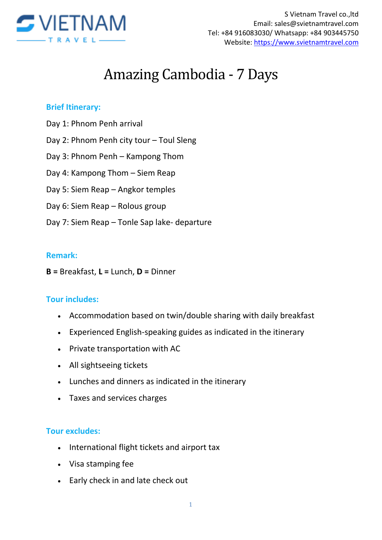

# Amazing Cambodia - 7 Days

## **Brief Itinerary:**

- Day 1: Phnom Penh arrival
- Day 2: Phnom Penh city tour Toul Sleng
- Day 3: Phnom Penh Kampong Thom
- Day 4: Kampong Thom Siem Reap
- Day 5: Siem Reap Angkor temples
- Day 6: Siem Reap Rolous group
- Day 7: Siem Reap Tonle Sap lake- departure

### **Remark:**

**B =** Breakfast, **L =** Lunch, **D =** Dinner

### **Tour includes:**

- Accommodation based on twin/double sharing with daily breakfast
- Experienced English-speaking guides as indicated in the itinerary
- Private transportation with AC
- All sightseeing tickets
- Lunches and dinners as indicated in the itinerary
- Taxes and services charges

### **Tour excludes:**

- International flight tickets and airport tax
- Visa stamping fee
- Early check in and late check out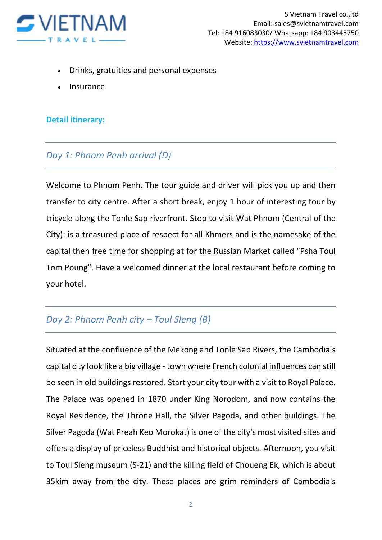

- Drinks, gratuities and personal expenses
- Insurance

### **Detail itinerary:**

## *Day 1: Phnom Penh arrival (D)*

Welcome to Phnom Penh. The tour guide and driver will pick you up and then transfer to city centre. After a short break, enjoy 1 hour of interesting tour by tricycle along the Tonle Sap riverfront. Stop to visit Wat Phnom (Central of the City): is a treasured place of respect for all Khmers and is the namesake of the capital then free time for shopping at for the Russian Market called "Psha Toul Tom Poung". Have a welcomed dinner at the local restaurant before coming to your hotel.

# *Day 2: Phnom Penh city – Toul Sleng (B)*

Situated at the confluence of the Mekong and Tonle Sap Rivers, the Cambodia's capital city look like a big village - town where French colonial influences can still be seen in old buildings restored. Start your city tour with a visit to Royal Palace. The Palace was opened in 1870 under King Norodom, and now contains the Royal Residence, the Throne Hall, the Silver Pagoda, and other buildings. The Silver Pagoda (Wat Preah Keo Morokat) is one of the city's most visited sites and offers a display of priceless Buddhist and historical objects. Afternoon, you visit to Toul Sleng museum (S-21) and the killing field of Choueng Ek, which is about 35kim away from the city. These places are grim reminders of Cambodia's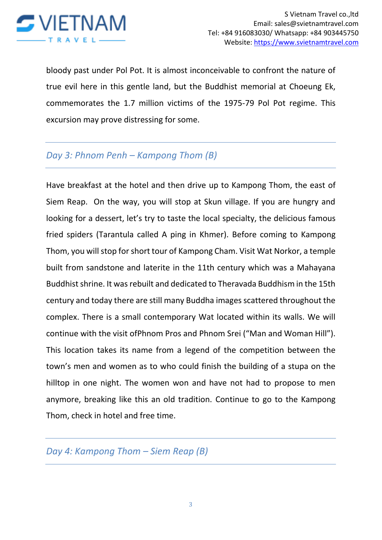

bloody past under Pol Pot. It is almost inconceivable to confront the nature of true evil here in this gentle land, but the Buddhist memorial at Choeung Ek, commemorates the 1.7 million victims of the 1975-79 Pol Pot regime. This excursion may prove distressing for some.

## *Day 3: Phnom Penh – Kampong Thom (B)*

Have breakfast at the hotel and then drive up to Kampong Thom, the east of Siem Reap. On the way, you will stop at Skun village. If you are hungry and looking for a dessert, let's try to taste the local specialty, the delicious famous fried spiders (Tarantula called A ping in Khmer). Before coming to Kampong Thom, you will stop for short tour of Kampong Cham. Visit Wat Norkor, a temple built from sandstone and laterite in the 11th century which was a Mahayana Buddhist shrine. It was rebuilt and dedicated to Theravada Buddhism in the 15th century and today there are still many Buddha images scattered throughout the complex. There is a small contemporary Wat located within its walls. We will continue with the visit ofPhnom Pros and Phnom Srei ("Man and Woman Hill"). This location takes its name from a legend of the competition between the town's men and women as to who could finish the building of a stupa on the hilltop in one night. The women won and have not had to propose to men anymore, breaking like this an old tradition. Continue to go to the Kampong Thom, check in hotel and free time.

*Day 4: Kampong Thom – Siem Reap (B)*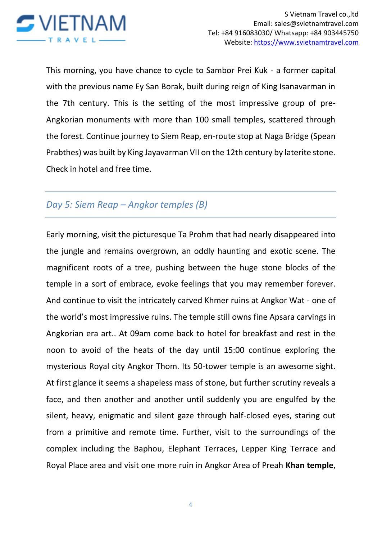

This morning, you have chance to cycle to Sambor Prei Kuk - a former capital with the previous name Ey San Borak, built during reign of King Isanavarman in the 7th century. This is the setting of the most impressive group of pre-Angkorian monuments with more than 100 small temples, scattered through the forest. Continue journey to Siem Reap, en-route stop at Naga Bridge (Spean Prabthes) was built by King Jayavarman VII on the 12th century by laterite stone. Check in hotel and free time.

## *Day 5: Siem Reap – Angkor temples (B)*

Early morning, visit the picturesque Ta Prohm that had nearly disappeared into the jungle and remains overgrown, an oddly haunting and exotic scene. The magnificent roots of a tree, pushing between the huge stone blocks of the temple in a sort of embrace, evoke feelings that you may remember forever. And continue to visit the intricately carved Khmer ruins at Angkor Wat - one of the world's most impressive ruins. The temple still owns fine Apsara carvings in Angkorian era art.. At 09am come back to hotel for breakfast and rest in the noon to avoid of the heats of the day until 15:00 continue exploring the mysterious Royal city Angkor Thom. Its 50-tower temple is an awesome sight. At first glance it seems a shapeless mass of stone, but further scrutiny reveals a face, and then another and another until suddenly you are engulfed by the silent, heavy, enigmatic and silent gaze through half-closed eyes, staring out from a primitive and remote time. Further, visit to the surroundings of the complex including the Baphou, Elephant Terraces, Lepper King Terrace and Royal Place area and visit one more ruin in Angkor Area of Preah **Khan temple**,